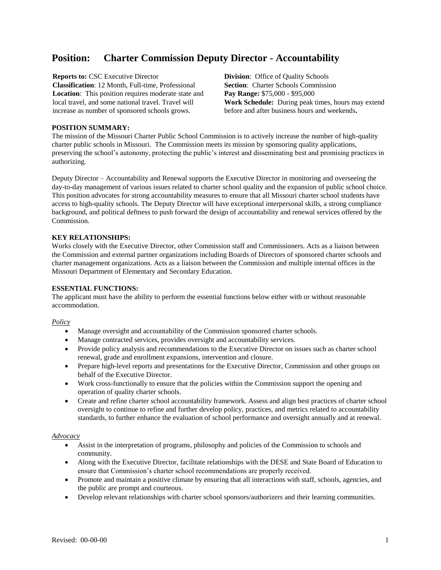# **Position: Charter Commission Deputy Director - Accountability**

**Reports to: CSC Executive Director <b>Division**: Office of Quality Schools **Classification**: 12 Month, Full-time, Professional **Section**: Charter Schools Commission **Location**: This position requires moderate state and local travel, and some national travel. Travel will increase as number of sponsored schools grows.

**Pay Range:** \$75,000 - \$95,000 **Work Schedule:** During peak times, hours may extend before and after business hours and weekends**.**

## **POSITION SUMMARY:**

The mission of the Missouri Charter Public School Commission is to actively increase the number of high-quality charter public schools in Missouri. The Commission meets its mission by sponsoring quality applications, preserving the school's autonomy, protecting the public's interest and disseminating best and promising practices in authorizing.

Deputy Director – Accountability and Renewal supports the Executive Director in monitoring and overseeing the day-to-day management of various issues related to charter school quality and the expansion of public school choice. This position advocates for strong accountability measures to ensure that all Missouri charter school students have access to high-quality schools. The Deputy Director will have exceptional interpersonal skills, a strong compliance background, and political deftness to push forward the design of accountability and renewal services offered by the Commission.

#### **KEY RELATIONSHIPS:**

Works closely with the Executive Director, other Commission staff and Commissioners. Acts as a liaison between the Commission and external partner organizations including Boards of Directors of sponsored charter schools and charter management organizations. Acts as a liaison between the Commission and multiple internal offices in the Missouri Department of Elementary and Secondary Education.

#### **ESSENTIAL FUNCTIONS:**

The applicant must have the ability to perform the essential functions below either with or without reasonable accommodation.

#### *Policy*

- Manage oversight and accountability of the Commission sponsored charter schools.
- Manage contracted services, provides oversight and accountability services.
- Provide policy analysis and recommendations to the Executive Director on issues such as charter school renewal, grade and enrollment expansions, intervention and closure.
- Prepare high-level reports and presentations for the Executive Director, Commission and other groups on behalf of the Executive Director.
- Work cross-functionally to ensure that the policies within the Commission support the opening and operation of quality charter schools.
- Create and refine charter school accountability framework. Assess and align best practices of charter school oversight to continue to refine and further develop policy, practices, and metrics related to accountability standards, to further enhance the evaluation of school performance and oversight annually and at renewal.

#### *Advocacy*

- Assist in the interpretation of programs, philosophy and policies of the Commission to schools and community.
- Along with the Executive Director, facilitate relationships with the DESE and State Board of Education to ensure that Commission's charter school recommendations are properly received.
- Promote and maintain a positive climate by ensuring that all interactions with staff, schools, agencies, and the public are prompt and courteous.
- Develop relevant relationships with charter school sponsors/authorizers and their learning communities.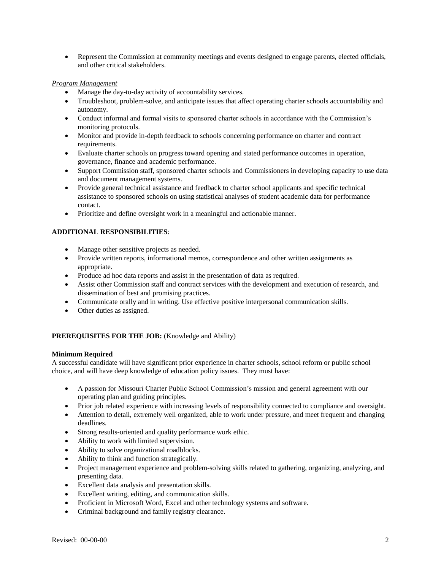Represent the Commission at community meetings and events designed to engage parents, elected officials, and other critical stakeholders.

## *Program Management*

- Manage the day-to-day activity of accountability services.
- Troubleshoot, problem-solve, and anticipate issues that affect operating charter schools accountability and autonomy.
- Conduct informal and formal visits to sponsored charter schools in accordance with the Commission's monitoring protocols.
- Monitor and provide in-depth feedback to schools concerning performance on charter and contract requirements.
- Evaluate charter schools on progress toward opening and stated performance outcomes in operation, governance, finance and academic performance.
- Support Commission staff, sponsored charter schools and Commissioners in developing capacity to use data and document management systems.
- Provide general technical assistance and feedback to charter school applicants and specific technical assistance to sponsored schools on using statistical analyses of student academic data for performance contact.
- Prioritize and define oversight work in a meaningful and actionable manner.

# **ADDITIONAL RESPONSIBILITIES**:

- Manage other sensitive projects as needed.
- Provide written reports, informational memos, correspondence and other written assignments as appropriate.
- Produce ad hoc data reports and assist in the presentation of data as required.
- Assist other Commission staff and contract services with the development and execution of research, and dissemination of best and promising practices.
- Communicate orally and in writing. Use effective positive interpersonal communication skills.
- Other duties as assigned.

# **PREREQUISITES FOR THE JOB:** (Knowledge and Ability)

## **Minimum Required**

A successful candidate will have significant prior experience in charter schools, school reform or public school choice, and will have deep knowledge of education policy issues. They must have:

- A passion for Missouri Charter Public School Commission's mission and general agreement with our operating plan and guiding principles.
- Prior job related experience with increasing levels of responsibility connected to compliance and oversight.
- Attention to detail, extremely well organized, able to work under pressure, and meet frequent and changing deadlines.
- Strong results-oriented and quality performance work ethic.
- Ability to work with limited supervision.
- Ability to solve organizational roadblocks.
- Ability to think and function strategically.
- Project management experience and problem-solving skills related to gathering, organizing, analyzing, and presenting data.
- Excellent data analysis and presentation skills.
- Excellent writing, editing, and communication skills.
- Proficient in Microsoft Word, Excel and other technology systems and software.
- Criminal background and family registry clearance.